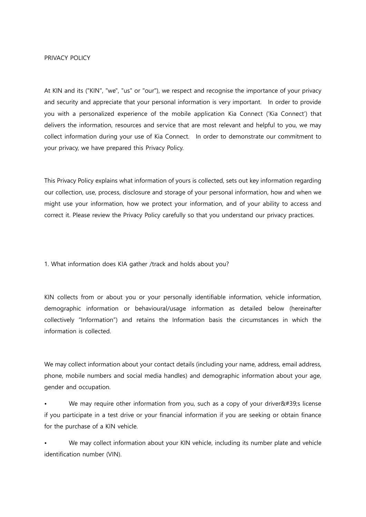### PRIVACY POLICY

At KIN and its ("KIN", "we", "us" or "our"), we respect and recognise the importance of your privacy and security and appreciate that your personal information is very important. In order to provide you with a personalized experience of the mobile application Kia Connect ('Kia Connect') that delivers the information, resources and service that are most relevant and helpful to you, we may collect information during your use of Kia Connect. In order to demonstrate our commitment to your privacy, we have prepared this Privacy Policy.

This Privacy Policy explains what information of yours is collected, sets out key information regarding our collection, use, process, disclosure and storage of your personal information, how and when we might use your information, how we protect your information, and of your ability to access and correct it. Please review the Privacy Policy carefully so that you understand our privacy practices.

### 1. What information does KIA gather /track and holds about you?

KIN collects from or about you or your personally identifiable information, vehicle information, demographic information or behavioural/usage information as detailed below (hereinafter collectively "Information") and retains the Information basis the circumstances in which the information is collected.

We may collect information about your contact details (including your name, address, email address, phone, mobile numbers and social media handles) and demographic information about your age, gender and occupation.

We may require other information from you, such as a copy of your driver $\&\#39$ ; license if you participate in a test drive or your financial information if you are seeking or obtain finance for the purchase of a KIN vehicle.

We may collect information about your KIN vehicle, including its number plate and vehicle identification number (VIN).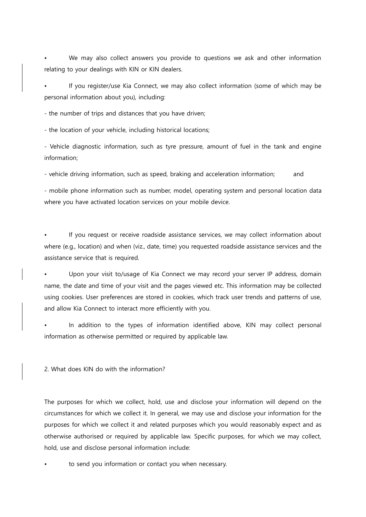We may also collect answers you provide to questions we ask and other information relating to your dealings with KIN or KIN dealers.

• If you register/use Kia Connect, we may also collect information (some of which may be personal information about you), including:

- the number of trips and distances that you have driven;

- the location of your vehicle, including historical locations;

- Vehicle diagnostic information, such as tyre pressure, amount of fuel in the tank and engine information;

- vehicle driving information, such as speed, braking and acceleration information; and

- mobile phone information such as number, model, operating system and personal location data where you have activated location services on your mobile device.

If you request or receive roadside assistance services, we may collect information about where (e.g., location) and when (viz., date, time) you requested roadside assistance services and the assistance service that is required.

Upon your visit to/usage of Kia Connect we may record your server IP address, domain name, the date and time of your visit and the pages viewed etc. This information may be collected using cookies. User preferences are stored in cookies, which track user trends and patterns of use, and allow Kia Connect to interact more efficiently with you.

In addition to the types of information identified above, KIN may collect personal information as otherwise permitted or required by applicable law.

2. What does KIN do with the information?

The purposes for which we collect, hold, use and disclose your information will depend on the circumstances for which we collect it. In general, we may use and disclose your information for the purposes for which we collect it and related purposes which you would reasonably expect and as otherwise authorised or required by applicable law. Specific purposes, for which we may collect, hold, use and disclose personal information include:

to send you information or contact you when necessary.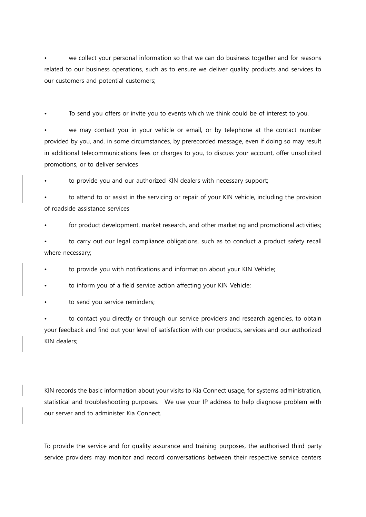we collect your personal information so that we can do business together and for reasons related to our business operations, such as to ensure we deliver quality products and services to our customers and potential customers;

To send you offers or invite you to events which we think could be of interest to you.

we may contact you in your vehicle or email, or by telephone at the contact number provided by you, and, in some circumstances, by prerecorded message, even if doing so may result in additional telecommunications fees or charges to you, to discuss your account, offer unsolicited promotions, or to deliver services

to provide you and our authorized KIN dealers with necessary support;

• to attend to or assist in the servicing or repair of your KIN vehicle, including the provision of roadside assistance services

for product development, market research, and other marketing and promotional activities;

• to carry out our legal compliance obligations, such as to conduct a product safety recall where necessary;

to provide you with notifications and information about your KIN Vehicle;

to inform you of a field service action affecting your KIN Vehicle;

to send you service reminders;

to contact you directly or through our service providers and research agencies, to obtain your feedback and find out your level of satisfaction with our products, services and our authorized KIN dealers;

KIN records the basic information about your visits to Kia Connect usage, for systems administration, statistical and troubleshooting purposes. We use your IP address to help diagnose problem with our server and to administer Kia Connect.

To provide the service and for quality assurance and training purposes, the authorised third party service providers may monitor and record conversations between their respective service centers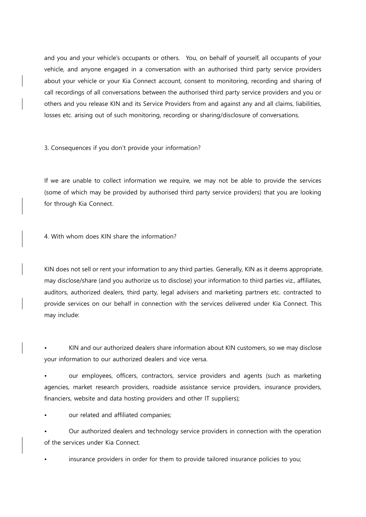and you and your vehicle's occupants or others. You, on behalf of yourself, all occupants of your vehicle, and anyone engaged in a conversation with an authorised third party service providers about your vehicle or your Kia Connect account, consent to monitoring, recording and sharing of call recordings of all conversations between the authorised third party service providers and you or others and you release KIN and its Service Providers from and against any and all claims, liabilities, losses etc. arising out of such monitoring, recording or sharing/disclosure of conversations.

3. Consequences if you don't provide your information?

If we are unable to collect information we require, we may not be able to provide the services (some of which may be provided by authorised third party service providers) that you are looking for through Kia Connect.

4. With whom does KIN share the information?

KIN does not sell or rent your information to any third parties. Generally, KIN as it deems appropriate, may disclose/share (and you authorize us to disclose) your information to third parties viz., affiliates, auditors, authorized dealers, third party, legal advisers and marketing partners etc. contracted to provide services on our behalf in connection with the services delivered under Kia Connect. This may include:

• KIN and our authorized dealers share information about KIN customers, so we may disclose your information to our authorized dealers and vice versa.

• our employees, officers, contractors, service providers and agents (such as marketing agencies, market research providers, roadside assistance service providers, insurance providers, financiers, website and data hosting providers and other IT suppliers);

our related and affiliated companies;

• Our authorized dealers and technology service providers in connection with the operation of the services under Kia Connect.

• insurance providers in order for them to provide tailored insurance policies to you;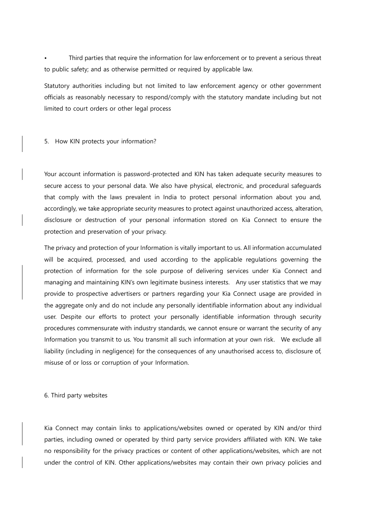• Third parties that require the information for law enforcement or to prevent a serious threat to public safety; and as otherwise permitted or required by applicable law.

Statutory authorities including but not limited to law enforcement agency or other government officials as reasonably necessary to respond/comply with the statutory mandate including but not limited to court orders or other legal process

5. How KIN protects your information?

Your account information is password-protected and KIN has taken adequate security measures to secure access to your personal data. We also have physical, electronic, and procedural safeguards that comply with the laws prevalent in India to protect personal information about you and, accordingly, we take appropriate security measures to protect against unauthorized access, alteration, disclosure or destruction of your personal information stored on Kia Connect to ensure the protection and preservation of your privacy.

The privacy and protection of your Information is vitally important to us. All information accumulated will be acquired, processed, and used according to the applicable regulations governing the protection of information for the sole purpose of delivering services under Kia Connect and managing and maintaining KIN's own legitimate business interests. Any user statistics that we may provide to prospective advertisers or partners regarding your Kia Connect usage are provided in the aggregate only and do not include any personally identifiable information about any individual user. Despite our efforts to protect your personally identifiable information through security procedures commensurate with industry standards, we cannot ensure or warrant the security of any Information you transmit to us. You transmit all such information at your own risk. We exclude all liability (including in negligence) for the consequences of any unauthorised access to, disclosure of, misuse of or loss or corruption of your Information.

6. Third party websites

Kia Connect may contain links to applications/websites owned or operated by KIN and/or third parties, including owned or operated by third party service providers affiliated with KIN. We take no responsibility for the privacy practices or content of other applications/websites, which are not under the control of KIN. Other applications/websites may contain their own privacy policies and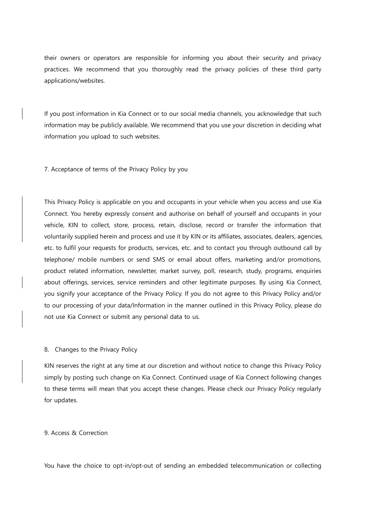their owners or operators are responsible for informing you about their security and privacy practices. We recommend that you thoroughly read the privacy policies of these third party applications/websites.

If you post information in Kia Connect or to our social media channels, you acknowledge that such information may be publicly available. We recommend that you use your discretion in deciding what information you upload to such websites.

7. Acceptance of terms of the Privacy Policy by you

This Privacy Policy is applicable on you and occupants in your vehicle when you access and use Kia Connect. You hereby expressly consent and authorise on behalf of yourself and occupants in your vehicle, KIN to collect, store, process, retain, disclose, record or transfer the information that voluntarily supplied herein and process and use it by KIN or its affiliates, associates, dealers, agencies, etc. to fulfil your requests for products, services, etc. and to contact you through outbound call by telephone/ mobile numbers or send SMS or email about offers, marketing and/or promotions, product related information, newsletter, market survey, poll, research, study, programs, enquiries about offerings, services, service reminders and other legitimate purposes. By using Kia Connect, you signify your acceptance of the Privacy Policy. If you do not agree to this Privacy Policy and/or to our processing of your data/Information in the manner outlined in this Privacy Policy, please do not use Kia Connect or submit any personal data to us.

8. Changes to the Privacy Policy

KIN reserves the right at any time at our discretion and without notice to change this Privacy Policy simply by posting such change on Kia Connect. Continued usage of Kia Connect following changes to these terms will mean that you accept these changes. Please check our Privacy Policy regularly for updates.

## 9. Access & Correction

You have the choice to opt-in/opt-out of sending an embedded telecommunication or collecting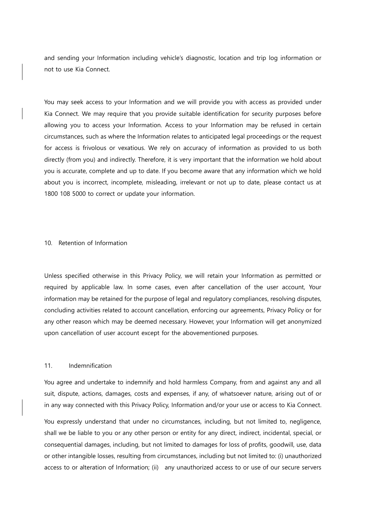and sending your Information including vehicle's diagnostic, location and trip log information or not to use Kia Connect.

You may seek access to your Information and we will provide you with access as provided under Kia Connect. We may require that you provide suitable identification for security purposes before allowing you to access your Information. Access to your Information may be refused in certain circumstances, such as where the Information relates to anticipated legal proceedings or the request for access is frivolous or vexatious. We rely on accuracy of information as provided to us both directly (from you) and indirectly. Therefore, it is very important that the information we hold about you is accurate, complete and up to date. If you become aware that any information which we hold about you is incorrect, incomplete, misleading, irrelevant or not up to date, please contact us at 1800 108 5000 to correct or update your information.

#### 10. Retention of Information

Unless specified otherwise in this Privacy Policy, we will retain your Information as permitted or required by applicable law. In some cases, even after cancellation of the user account, Your information may be retained for the purpose of legal and regulatory compliances, resolving disputes, concluding activities related to account cancellation, enforcing our agreements, Privacy Policy or for any other reason which may be deemed necessary. However, your Information will get anonymized upon cancellation of user account except for the abovementioned purposes.

### 11. Indemnification

You agree and undertake to indemnify and hold harmless Company, from and against any and all suit, dispute, actions, damages, costs and expenses, if any, of whatsoever nature, arising out of or in any way connected with this Privacy Policy, Information and/or your use or access to Kia Connect.

You expressly understand that under no circumstances, including, but not limited to, negligence, shall we be liable to you or any other person or entity for any direct, indirect, incidental, special, or consequential damages, including, but not limited to damages for loss of profits, goodwill, use, data or other intangible losses, resulting from circumstances, including but not limited to: (i) unauthorized access to or alteration of Information; (ii) any unauthorized access to or use of our secure servers